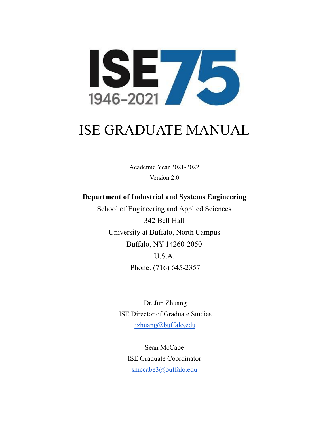

# ISE GRADUATE MANUAL

Academic Year 2021-2022 Version 2.0

# **Department of Industrial and Systems Engineering**

School of Engineering and Applied Sciences 342 Bell Hall University at Buffalo, North Campus Buffalo, NY 14260-2050 U.S.A. Phone: (716) 645-2357

> Dr. Jun Zhuang ISE Director of Graduate Studies jzhuang[@buffalo.edu](mailto:anikolae@buffalo.edu)

Sean McCabe ISE Graduate Coordinator [smccabe3@buffalo.edu](mailto:smccabe3@buffalo.edu)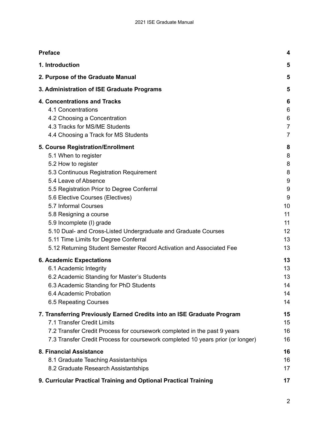| <b>Preface</b>                                                                  | 4              |
|---------------------------------------------------------------------------------|----------------|
| 1. Introduction                                                                 | 5              |
| 2. Purpose of the Graduate Manual                                               | 5              |
| 3. Administration of ISE Graduate Programs                                      | 5              |
| <b>4. Concentrations and Tracks</b>                                             | 6              |
| 4.1 Concentrations                                                              | 6              |
| 4.2 Choosing a Concentration                                                    | 6              |
| 4.3 Tracks for MS/ME Students                                                   | $\overline{7}$ |
| 4.4 Choosing a Track for MS Students                                            | 7              |
| 5. Course Registration/Enrollment                                               | 8              |
| 5.1 When to register                                                            | 8              |
| 5.2 How to register                                                             | 8              |
| 5.3 Continuous Registration Requirement                                         | 8              |
| 5.4 Leave of Absence                                                            | 9              |
| 5.5 Registration Prior to Degree Conferral                                      | 9              |
| 5.6 Elective Courses (Electives)                                                | 9              |
| 5.7 Informal Courses                                                            | 10             |
| 5.8 Resigning a course                                                          | 11             |
| 5.9 Incomplete (I) grade                                                        | 11             |
| 5.10 Dual- and Cross-Listed Undergraduate and Graduate Courses                  | 12             |
| 5.11 Time Limits for Degree Conferral                                           | 13             |
| 5.12 Returning Student Semester Record Activation and Associated Fee            | 13             |
| <b>6. Academic Expectations</b>                                                 | 13             |
| 6.1 Academic Integrity                                                          | 13             |
| 6.2 Academic Standing for Master's Students                                     | 13             |
| 6.3 Academic Standing for PhD Students                                          | 14             |
| 6.4 Academic Probation                                                          | 14             |
| 6.5 Repeating Courses                                                           | 14             |
| 7. Transferring Previously Earned Credits into an ISE Graduate Program          | 15             |
| 7.1 Transfer Credit Limits                                                      | 15             |
| 7.2 Transfer Credit Process for coursework completed in the past 9 years        | 16             |
| 7.3 Transfer Credit Process for coursework completed 10 years prior (or longer) | 16             |
| 8. Financial Assistance                                                         | 16             |
| 8.1 Graduate Teaching Assistantships                                            | 16             |
| 8.2 Graduate Research Assistantships                                            | 17             |
| 9. Curricular Practical Training and Optional Practical Training                | 17             |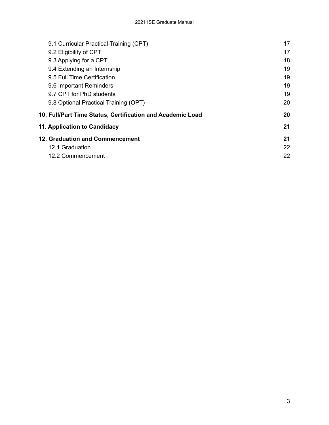| 9.1 Curricular Practical Training (CPT)                    | 17 |
|------------------------------------------------------------|----|
| 9.2 Eligibility of CPT                                     | 17 |
| 9.3 Applying for a CPT                                     | 18 |
| 9.4 Extending an Internship                                | 19 |
| 9.5 Full Time Certification                                | 19 |
| 9.6 Important Reminders                                    | 19 |
| 9.7 CPT for PhD students                                   | 19 |
| 9.8 Optional Practical Training (OPT)                      | 20 |
| 10. Full/Part Time Status, Certification and Academic Load | 20 |
| 11. Application to Candidacy                               | 21 |
| <b>12. Graduation and Commencement</b>                     | 21 |
| 12.1 Graduation                                            | 22 |
| 12.2 Commencement                                          | 22 |
|                                                            |    |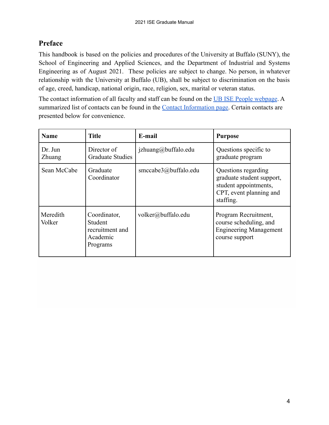# <span id="page-3-0"></span>**Preface**

This handbook is based on the policies and procedures of the University at Buffalo (SUNY), the School of Engineering and Applied Sciences, and the Department of Industrial and Systems Engineering as of August 2021. These policies are subject to change. No person, in whatever relationship with the University at Buffalo (UB), shall be subject to discrimination on the basis of age, creed, handicap, national origin, race, religion, sex, marital or veteran status.

The contact information of all faculty and staff can be found on the [UB ISE People webpage](http://engineering.buffalo.edu/industrial-systems/people/faculty-directory.html). A summarized list of contacts can be found in the **Contact Information page**. Certain contacts are presented below for convenience.

| <b>Name</b>        | <b>Title</b>                                                       | E-mail               | <b>Purpose</b>                                                                                                    |
|--------------------|--------------------------------------------------------------------|----------------------|-------------------------------------------------------------------------------------------------------------------|
| Dr Jun<br>Zhuang   | Director of<br><b>Graduate Studies</b>                             | jzhuang@buffalo.edu  | Questions specific to<br>graduate program                                                                         |
| Sean McCabe        | Graduate<br>Coordinator                                            | smccabe3@buffalo.edu | Questions regarding<br>graduate student support,<br>student appointments,<br>CPT, event planning and<br>staffing. |
| Meredith<br>Volker | Coordinator,<br>Student<br>recruitment and<br>Academic<br>Programs | volker@buffalo.edu   | Program Recruitment,<br>course scheduling, and<br><b>Engineering Management</b><br>course support                 |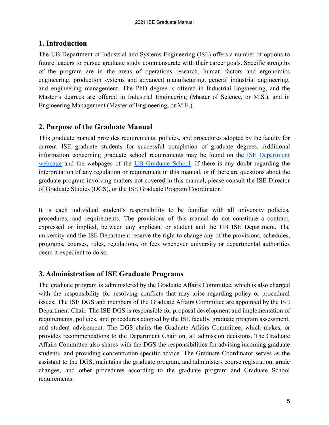# <span id="page-4-0"></span>**1. Introduction**

The UB Department of Industrial and Systems Engineering (ISE) offers a number of options to future leaders to pursue graduate study commensurate with their career goals. Specific strengths of the program are in the areas of operations research, human factors and ergonomics engineering, production systems and advanced manufacturing, general industrial engineering, and engineering management. The PhD degree is offered in Industrial Engineering, and the Master's degrees are offered in Industrial Engineering (Master of Science, or M.S.), and in Engineering Management (Master of Engineering, or M.E.).

# <span id="page-4-1"></span> **2. Purpose of the Graduate Manual**

This graduate manual provides requirements, policies, and procedures adopted by the faculty for current ISE graduate students for successful completion of graduate degrees. Additional information concerning graduate school requirements may be found on the ISE [Department](http://engineering.buffalo.edu/industrial-systems/academics/graduate.html) [webpage](http://engineering.buffalo.edu/industrial-systems/academics/graduate.html) and the webpages of the UB [Graduate](https://grad.buffalo.edu/explore/about/programs.html#i) School. If there is any doubt regarding the interpretation of any regulation or requirement in this manual, or if there are questions about the graduate program involving matters not covered in this manual, please consult the ISE Director of Graduate Studies (DGS), or the ISE Graduate Program Coordinator.

It is each individual student's responsibility to be familiar with all university policies, procedures, and requirements. The provisions of this manual do not constitute a contract, expressed or implied, between any applicant or student and the UB ISE Department. The university and the ISE Department reserve the right to change any of the provisions, schedules, programs, courses, rules, regulations, or fees whenever university or departmental authorities deem it expedient to do so.

# <span id="page-4-2"></span> **3. Administration of ISE Graduate Programs**

The graduate program is administered by the Graduate Affairs Committee, which is also charged with the responsibility for resolving conflicts that may arise regarding policy or procedural issues. The ISE DGS and members of the Graduate Affairs Committee are appointed by the ISE Department Chair. The ISE DGS is responsible for proposal development and implementation of requirements, policies, and procedures adopted by the ISE faculty, graduate program assessment, and student advisement. The DGS chairs the Graduate Affairs Committee, which makes, or provides recommendations to the Department Chair on, all admission decisions. The Graduate Affairs Committee also shares with the DGS the responsibilities for advising incoming graduate students, and providing concentration-specific advice. The Graduate Coordinator serves as the assistant to the DGS, maintains the graduate program, and administers course registration, grade changes, and other procedures according to the graduate program and Graduate School requirements.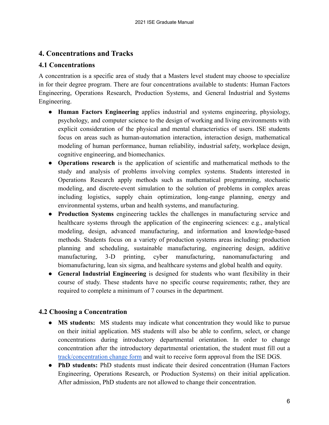# <span id="page-5-0"></span> **4. Concentrations and Tracks**

# <span id="page-5-1"></span>**4.1 Concentrations**

A concentration is a specific area of study that a Masters level student may choose to specialize in for their degree program. There are four concentrations available to students: Human Factors Engineering, Operations Research, Production Systems, and General Industrial and Systems Engineering.

- **Human Factors Engineering** applies industrial and systems engineering, physiology, psychology, and computer science to the design of working and living environments with explicit consideration of the physical and mental characteristics of users. ISE students focus on areas such as human-automation interaction, interaction design, mathematical modeling of human performance, human reliability, industrial safety, workplace design, cognitive engineering, and biomechanics.
- **Operations research** is the application of scientific and mathematical methods to the study and analysis of problems involving complex systems. Students interested in Operations Research apply methods such as mathematical programming, stochastic modeling, and discrete-event simulation to the solution of problems in complex areas including logistics, supply chain optimization, long-range planning, energy and environmental systems, urban and health systems, and manufacturing.
- **Production Systems** engineering tackles the challenges in manufacturing service and healthcare systems through the application of the engineering sciences: e.g., analytical modeling, design, advanced manufacturing, and information and knowledge-based methods. Students focus on a variety of production systems areas including: production planning and scheduling, sustainable manufacturing, engineering design, additive manufacturing, 3-D printing, cyber manufacturing, nanomanufacturing and biomanufacturing, lean six sigma, and healthcare systems and global health and equity.
- **General Industrial Engineering** is designed for students who want flexibility in their course of study. These students have no specific course requirements; rather, they are required to complete a minimum of 7 courses in the department.

# <span id="page-5-2"></span> **4.2 Choosing a Concentration**

- **MS** students: MS students may indicate what concentration they would like to pursue on their initial application. MS students will also be able to confirm, select, or change concentrations during introductory departmental orientation. In order to change concentration after the introductory departmental orientation, the student must fill out a [track/concentration change form](https://ub-gradeng.formstack.com/workflows/ise_concentration_track_change_form) and wait to receive form approval from the ISE DGS.
- **PhD students:** PhD students must indicate their desired concentration (Human Factors Engineering, Operations Research, or Production Systems) on their initial application. After admission, PhD students are not allowed to change their concentration.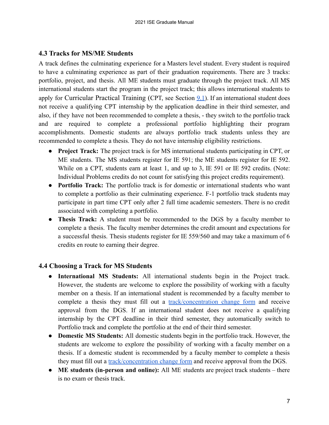## <span id="page-6-0"></span> **4.3 Tracks for MS/ME Students**

A track defines the culminating experience for a Masters level student. Every student is required to have a culminating experience as part of their graduation requirements. There are 3 tracks: portfolio, project, and thesis. All ME students must graduate through the project track. All MS international students start the program in the project track; this allows international students to apply for Curricular Practical Training (CPT, see Section [9.1](#page-16-2)). If an international student does not receive a qualifying CPT internship by the application deadline in their third semester, and also, if they have not been recommended to complete a thesis, - they switch to the portfolio track and are required to complete a professional portfolio highlighting their program accomplishments. Domestic students are always portfolio track students unless they are recommended to complete a thesis. They do not have internship eligibility restrictions.

- **Project Track:** The project track is for MS international students participating in CPT, or ME students. The MS students register for IE 591; the ME students register for IE 592. While on a CPT, students earn at least 1, and up to 3, IE 591 or IE 592 credits. (Note: Individual Problems credits do not count for satisfying this project credits requirement).
- **Portfolio Track:** The portfolio track is for domestic or international students who want to complete a portfolio as their culminating experience. F-1 portfolio track students may participate in part time CPT only after 2 full time academic semesters. There is no credit associated with completing a portfolio.
- **Thesis Track:** A student must be recommended to the DGS by a faculty member to complete a thesis. The faculty member determines the credit amount and expectations for a successful thesis. Thesis students register for IE 559/560 and may take a maximum of 6 credits en route to earning their degree.

# <span id="page-6-1"></span> **4.4 Choosing a Track for MS Students**

- **International MS Students:** All international students begin in the Project track. However, the students are welcome to explore the possibility of working with a faculty member on a thesis. If an international student is recommended by a faculty member to complete a thesis they must fill out a [track/concentration](https://ub-gradeng.formstack.com/workflows/ise_concentration_track_change_form) change form and receive approval from the DGS. If an international student does not receive a qualifying internship by the CPT deadline in their third semester, they automatically switch to Portfolio track and complete the portfolio at the end of their third semester.
- **Domestic MS Students:** All domestic students begin in the portfolio track. However, the students are welcome to explore the possibility of working with a faculty member on a thesis. If a domestic student is recommended by a faculty member to complete a thesis they must fill out a [track/concentration change form](https://ub-gradeng.formstack.com/workflows/ise_concentration_track_change_form) and receive approval from the DGS.
- **ME students (in-person and online):** All ME students are project track students there is no exam or thesis track.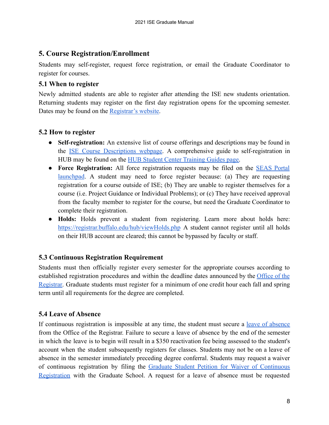# <span id="page-7-0"></span> **5. Course Registration/Enrollment**

Students may self-register, request force registration, or email the Graduate Coordinator to register for courses.

## <span id="page-7-1"></span> **5.1 When to register**

Newly admitted students are able to register after attending the ISE new students orientation. Returning students may register on the first day registration opens for the upcoming semester. Dates may be found on the [Registrar's website.](https://registrar.buffalo.edu/)

# <span id="page-7-2"></span> **5.2 How to register**

- **Self-registration:** An extensive list of course offerings and descriptions may be found in the ISE Course [Descriptions](http://engineering.buffalo.edu/industrial-systems/academics/graduate/courses.html) webpage. A comprehensive guide to self-registration in HUB may be found on the [HUB Student Center Training](https://registrar.buffalo.edu/hub/) Guides page.
- **Force Registration:** All force registration requests may be filed on the [SEAS](http://engineering.buffalo.edu/home/academics/undergrad/advisement/portal.html) Portal [launchpad](http://engineering.buffalo.edu/home/academics/undergrad/advisement/portal.html). A student may need to force register because: (a) They are requesting registration for a course outside of ISE; (b) They are unable to register themselves for a course (i.e. Project Guidance or Individual Problems); or (c) They have received approval from the faculty member to register for the course, but need the Graduate Coordinator to complete their registration.
- **Holds:** Holds prevent a student from registering. Learn more about holds here: <https://registrar.buffalo.edu/hub/viewHolds.php> A student cannot register until all holds on their HUB account are cleared; this cannot be bypassed by faculty or staff.

# <span id="page-7-3"></span> **5.3 Continuous Registration Requirement**

Students must then officially register every semester for the appropriate courses according to established registration procedures and within the deadline dates announced by the [Office](http://registrar.buffalo.edu/registration/index.php) of the [Registrar.](http://registrar.buffalo.edu/registration/index.php) Graduate students must register for a minimum of one credit hour each fall and spring term until all requirements for the degree are completed.

# <span id="page-7-4"></span> **5.4 Leave of Absence**

If continuous registration is impossible at any time, the student must secure a <u>leave of [absence](https://grad.buffalo.edu/succeed/current-students/policy-library.a-to-z.html#leave)</u> from the Office of the Registrar. Failure to secure a leave of absence by the end of the semester in which the leave is to begin will result in a \$350 reactivation fee being assessed to the student's account when the student subsequently registers for classes. Students may not be on a leave of absence in the semester immediately preceding degree conferral. Students may request a waiver of continuous registration by filing the Graduate Student Petition for Waiver of [Continuous](https://grad.buffalo.edu/forms/continuous.html) [Registration](https://grad.buffalo.edu/forms/continuous.html) with the Graduate School. A request for a leave of absence must be requested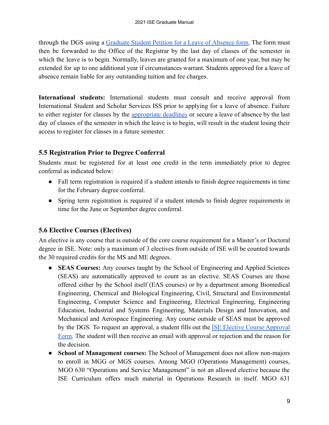through the DGS using a [Graduate](http://www.registrar.buffalo.edu/pdfs/gradleaveofAbsence.pdf) Student Petition for a Leave of Absence form. The form must then be forwarded to the Office of the Registrar by the last day of classes of the semester in which the leave is to begin. Normally, leaves are granted for a maximum of one year, but may be extended for up to one additional year if circumstances warrant. Students approved for a leave of absence remain liable for any outstanding tuition and fee charges.

**International students:** International students must consult and receive approval from International Student and Scholar Services ISS prior to applying for a leave of absence. Failure to either register for classes by the [appropriate](http://registrar.buffalo.edu/registration/index.php) deadlines or secure a leave of absence by the last day of classes of the semester in which the leave is to begin, will result in the student losing their access to register for classes in a future semester.

# <span id="page-8-0"></span> **5.5 Registration Prior to Degree Conferral**

Students must be registered for at least one credit in the term immediately prior to degree conferral as indicated below:

- Fall term registration is required if a student intends to finish degree requirements in time for the February degree conferral.
- Spring term registration is required if a student intends to finish degree requirements in time for the June or September degree conferral.

# <span id="page-8-1"></span> **5.6 Elective Courses (Electives)**

An elective is any course that is outside of the core course requirement for a Master's or Doctoral degree in ISE. Note: only a maximum of 3 electives from outside of ISE will be counted towards the 30 required credits for the MS and ME degrees.

- **SEAS Courses:** Any courses taught by the School of Engineering and Applied Sciences (SEAS) are automatically approved to count as an elective. SEAS Courses are those offered either by the School itself (EAS courses) or by a department among Biomedical Engineering, Chemical and Biological Engineering, Civil, Structural and Environmental Engineering, Computer Science and Engineering, Electrical Engineering, Engineering Education, Industrial and Systems Engineering, Materials Design and Innovation, and Mechanical and Aerospace Engineering. Any course outside of SEAS must be approved by the DGS. To request an approval, a student fills out the **ISE Elective Course [Approval](https://ub-gradeng.formstack.com/workflows/ise_course_approval_form)** [Form.](https://ub-gradeng.formstack.com/workflows/ise_course_approval_form) The student will then receive an email with approval or rejection and the reason for the decision.
- **School of Management courses:** The School of Management does not allow non-majors to enroll in MGG or MGS courses. Among MGO (Operations Management) courses, MGO 630 "Operations and Service Management" is not an allowed elective because the ISE Curriculum offers much material in Operations Research in itself. MGO 631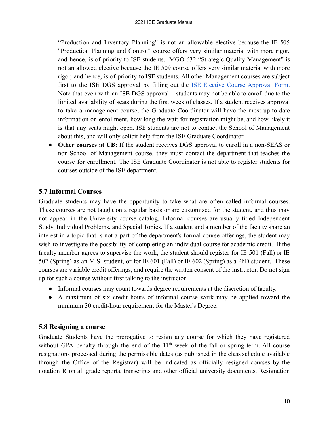"Production and Inventory Planning" is not an allowable elective because the IE 505 "Production Planning and Control" course offers very similar material with more rigor, and hence, is of priority to ISE students. MGO 632 "Strategic Quality Management" is not an allowed elective because the IE 509 course offers very similar material with more rigor, and hence, is of priority to ISE students. All other Management courses are subject first to the ISE DGS approval by filling out the ISE Elective Course [Approval](https://ub-gradeng.formstack.com/workflows/ise_course_approval_form) Form. Note that even with an ISE DGS approval – students may not be able to enroll due to the limited availability of seats during the first week of classes. If a student receives approval to take a management course, the Graduate Coordinator will have the most up-to-date information on enrollment, how long the wait for registration might be, and how likely it is that any seats might open. ISE students are not to contact the School of Management about this, and will only solicit help from the ISE Graduate Coordinator.

● **Other courses at UB:** If the student receives DGS approval to enroll in a non-SEAS or non-School of Management course, they must contact the department that teaches the course for enrollment. The ISE Graduate Coordinator is not able to register students for courses outside of the ISE department.

# <span id="page-9-0"></span> **5.7 Informal Courses**

Graduate students may have the opportunity to take what are often called informal courses. These courses are not taught on a regular basis or are customized for the student, and thus may not appear in the University course catalog. Informal courses are usually titled Independent Study, Individual Problems, and Special Topics. If a student and a member of the faculty share an interest in a topic that is not a part of the department's formal course offerings, the student may wish to investigate the possibility of completing an individual course for academic credit. If the faculty member agrees to supervise the work, the student should register for IE 501 (Fall) or IE 502 (Spring) as an M.S. student, or for IE 601 (Fall) or IE 602 (Spring) as a PhD student. These courses are variable credit offerings, and require the written consent of the instructor. Do not sign up for such a course without first talking to the instructor.

- Informal courses may count towards degree requirements at the discretion of faculty.
- A maximum of six credit hours of informal course work may be applied toward the minimum 30 credit-hour requirement for the Master's Degree.

## <span id="page-9-1"></span> **5.8 Resigning a course**

Graduate Students have the prerogative to resign any course for which they have registered without GPA penalty through the end of the  $11<sup>th</sup>$  week of the fall or spring term. All course resignations processed during the permissible dates (as published in the class schedule available through the Office of the Registrar) will be indicated as officially resigned courses by the notation R on all grade reports, transcripts and other official university documents. Resignation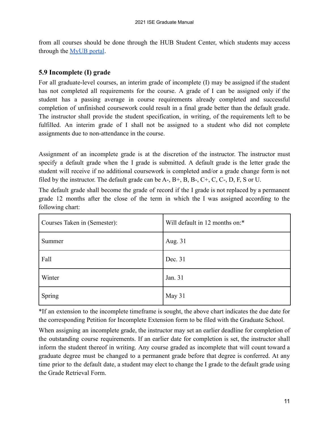from all courses should be done through the HUB Student Center, which students may access through the [MyUB portal](http://www.myub.buffalo.edu/).

# <span id="page-10-0"></span> **5.9 Incomplete (I) grade**

For all graduate-level courses, an interim grade of incomplete (I) may be assigned if the student has not completed all requirements for the course. A grade of I can be assigned only if the student has a passing average in course requirements already completed and successful completion of unfinished coursework could result in a final grade better than the default grade. The instructor shall provide the student specification, in writing, of the requirements left to be fulfilled. An interim grade of I shall not be assigned to a student who did not complete assignments due to non-attendance in the course.

Assignment of an incomplete grade is at the discretion of the instructor. The instructor must specify a default grade when the I grade is submitted. A default grade is the letter grade the student will receive if no additional coursework is completed and/or a grade change form is not filed by the instructor. The default grade can be A-, B+, B, B-, C+, C, C-, D, F, S or U.

The default grade shall become the grade of record if the I grade is not replaced by a permanent grade 12 months after the close of the term in which the I was assigned according to the following chart:

| Courses Taken in (Semester): | Will default in 12 months on:* |
|------------------------------|--------------------------------|
| Summer                       | Aug. 31                        |
| Fall                         | Dec. 31                        |
| Winter                       | Jan. 31                        |
| Spring                       | May 31                         |

\*If an extension to the incomplete timeframe is sought, the above chart indicates the due date for the corresponding [Petition for Incomplete Extension](http://registrar.buffalo.edu/pdfs/PetitionToExtndIUGrdDeadline.pdf) form to be filed with the Graduate School.

When assigning an incomplete grade, the instructor may set an earlier deadline for completion of the outstanding course requirements. If an earlier date for completion is set, the instructor shall inform the student thereof in writing. Any course graded as incomplete that will count toward a graduate degree must be changed to a permanent grade before that degree is conferred. At any time prior to the default date, a student may elect to change the I grade to the default grade using the [Grade Retrieval Form.](https://registrar.buffalo.edu/forms/grade-retrieval.php)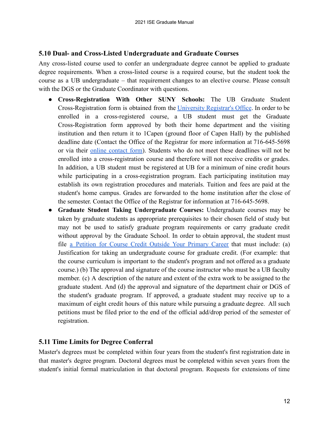#### <span id="page-11-0"></span> **5.10 Dual- and Cross-Listed Undergraduate and Graduate Courses**

Any cross-listed course used to confer an undergraduate degree cannot be applied to graduate degree requirements. When a cross-listed course is a required course, but the student took the course as a UB undergraduate – that requirement changes to an elective course. Please consult with the DGS or the Graduate Coordinator with questions.

- **Cross-Registration With Other SUNY Schools:** The UB Graduate Student Cross-Registration form is obtained from the University [Registrar's](http://registrar.buffalo.edu/) Office. In order to be enrolled in a cross-registered course, a UB student must get the Graduate Cross-Registration form approved by both their home department and the visiting institution and then return it to 1Capen (ground floor of Capen Hall) by the published deadline date (Contact the Office of the Registrar for more information at 716-645-5698 or via their online [contact](https://registrar.buffalo.edu/contact.php) form). Students who do not meet these deadlines will not be enrolled into a cross-registration course and therefore will not receive credits or grades. In addition, a UB student must be registered at UB for a minimum of nine credit hours while participating in a cross-registration program. Each participating institution may establish its own registration procedures and materials. Tuition and fees are paid at the student's home campus. Grades are forwarded to the home institution after the close of the semester. Contact the Office of the Registrar for information at 716-645-5698.
- **Graduate Student Taking Undergraduate Courses:** Undergraduate courses may be taken by graduate students as appropriate prerequisites to their chosen field of study but may not be used to satisfy graduate program requirements or carry graduate credit without approval by the Graduate School. In order to obtain approval, the student must file a Petition for Course Credit Outside Your [Primary](http://registrar.buffalo.edu/pdfs/OutsideofCareerPetition.pdf) Career that must include: (a) Justification for taking an undergraduate course for graduate credit. (For example: that the course curriculum is important to the student's program and not offered as a graduate course.) (b) The approval and signature of the course instructor who must be a UB faculty member. (c) A description of the nature and extent of the extra work to be assigned to the graduate student. And (d) the approval and signature of the department chair or DGS of the student's graduate program. If approved, a graduate student may receive up to a maximum of eight credit hours of this nature while pursuing a graduate degree. All such petitions must be filed prior to the end of the official add/drop period of the semester of registration.

## <span id="page-11-1"></span> **5.11 Time Limits for Degree Conferral**

Master's degrees must be completed within four years from the student's first registration date in that master's degree program. Doctoral degrees must be completed within seven years from the student's initial formal matriculation in that doctoral program. Requests for extensions of time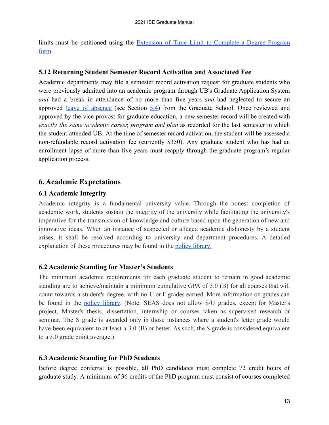limits must be petitioned using the [Extension](https://grad.buffalo.edu/forms/extension.html) of Time Limit to Complete a Degree Program [form](https://grad.buffalo.edu/forms/extension.html).

#### <span id="page-12-0"></span> **5.12 Returning Student Semester Record Activation and Associated Fee**

Academic departments may file a semester record activation request for graduate students who were previously admitted into an academic program through UB's Graduate Application System *and* had a break in attendance of no more than five years *and* had neglected to secure an approved leave of [absence](https://grad.buffalo.edu/succeed/current-students/policy-library.a-to-z.html#leave) (see Section [5.4\)](#page-7-4) from the Graduate School. Once reviewed and approved by the vice provost for graduate education, a new semester record will be created with *exactly the same academic career, program and plan* as recorded for the last semester in which the student attended UB. At the time of semester record activation, the student will be assessed a non-refundable record activation fee (currently \$350). Any graduate student who has had an enrollment lapse of more than five years must reapply through the graduate program's regular application process.

## <span id="page-12-1"></span> **6. Academic Expectations**

#### <span id="page-12-2"></span> **6.1 Academic Integrity**

Academic integrity is a fundamental university value. Through the honest completion of academic work, students sustain the integrity of the university while facilitating the university's imperative for the transmission of knowledge and culture based upon the generation of new and innovative ideas. When an instance of suspected or alleged academic dishonesty by a student arises, it shall be resolved according to university and department procedures. A detailed explanation of these procedures may be found in the [policy library](https://www.buffalo.edu/grad/succeed/current-students/policy-library.html).

#### <span id="page-12-3"></span> **6.2 Academic Standing for Master's Students**

The minimum academic requirements for each graduate student to remain in good academic standing are to achieve/maintain a minimum cumulative GPA of 3.0 (B) for all courses that will count towards a student's degree, with no U or F grades earned. More information on grades can be found in the policy [library.](https://www.buffalo.edu/grad/succeed/current-students/policy-library.html?q=grades) (Note: SEAS does not allow S/U grades, except for Master's project, Master's thesis, dissertation, internship or courses taken as supervised research or seminar. The S grade is awarded only in those instances where a student's letter grade would have been equivalent to at least a 3.0 (B) or better. As such, the S grade is considered equivalent to a 3.0 grade point average.)

#### <span id="page-12-4"></span> **6.3 Academic Standing for PhD Students**

Before degree conferral is possible, all PhD candidates must complete 72 credit hours of graduate study. A minimum of 36 credits of the PhD program must consist of courses completed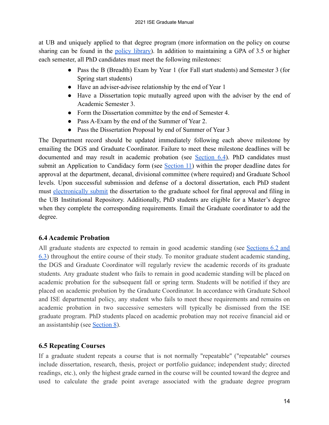at UB and uniquely applied to that degree program (more information on the policy on course sharing can be found in the policy [library\)](https://www.buffalo.edu/grad/succeed/current-students/policy-library.html). In addition to maintaining a GPA of 3.5 or higher each semester, all PhD candidates must meet the following milestones:

- Pass the B (Breadth) Exam by Year 1 (for Fall start students) and Semester 3 (for Spring start students)
- Have an adviser-advisee relationship by the end of Year 1
- Have a Dissertation topic mutually agreed upon with the adviser by the end of Academic Semester 3.
- Form the Dissertation committee by the end of Semester 4.
- Pass A-Exam by the end of the Summer of Year 2.
- Pass the Dissertation Proposal by end of Summer of Year 3

The Department record should be updated immediately following each above milestone by emailing the DGS and Graduate Coordinator. Failure to meet these milestone deadlines will be documented and may result in academic probation (see [Section](#page-13-0) 6.4). PhD candidates must submit an Application to Candidacy form (see [Section](#page-20-2) 11) within the proper deadline dates for approval at the department, decanal, divisional committee (where required) and Graduate School levels. Upon successful submission and defense of a doctoral dissertation, each PhD student must [electronically](https://www.buffalo.edu/grad/succeed/graduate/electronic-submission.html) submit the dissertation to the graduate school for final approval and filing in the UB Institutional Repository. Additionally, PhD students are eligible for a Master's degree when they complete the corresponding requirements. Email the Graduate coordinator to add the degree.

# <span id="page-13-0"></span> **6.4 Academic Probation**

All graduate students are expected to remain in good academic standing (see [Sections](#page-12-3) 6.2 [and](#page-12-4) [6.3](#page-12-4)) throughout the entire course of their study. To monitor graduate student academic standing, the DGS and Graduate Coordinator will regularly review the academic records of its graduate students. Any graduate student who fails to remain in good academic standing will be placed on academic probation for the subsequent fall or spring term. Students will be notified if they are placed on academic probation by the Graduate Coordinator. In accordance with Graduate School and ISE departmental policy, any student who fails to meet these requirements and remains on academic probation in two successive semesters will typically be dismissed from the ISE graduate program. PhD students placed on academic probation may not receive financial aid or an assistantship (see [Section 8](#page-15-1)).

# <span id="page-13-1"></span> **6.5 Repeating Courses**

If a graduate student repeats a course that is not normally "repeatable" ("repeatable" courses include dissertation, research, thesis, project or portfolio guidance; independent study; directed readings, etc.), only the highest grade earned in the course will be counted toward the degree and used to calculate the grade point average associated with the graduate degree program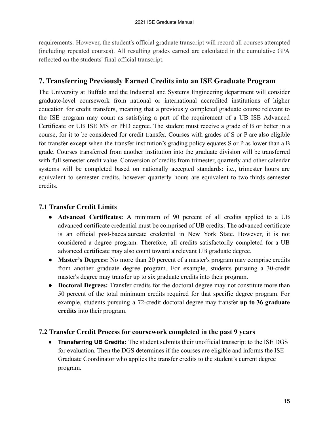requirements. However, the student's official graduate transcript will record all courses attempted (including repeated courses). All resulting grades earned are calculated in the cumulative GPA reflected on the students' final official transcript.

# <span id="page-14-0"></span> **7. Transferring Previously Earned Credits into an ISE Graduate Program**

The University at Buffalo and the Industrial and Systems Engineering department will consider graduate-level coursework from national or international accredited institutions of higher education for credit transfers, meaning that a previously completed graduate course relevant to the ISE program may count as satisfying a part of the requirement of a UB ISE Advanced Certificate or UB ISE MS or PhD degree. The student must receive a grade of B or better in a course, for it to be considered for credit transfer. Courses with grades of S or P are also eligible for transfer except when the transfer institution's grading policy equates S or P as lower than a B grade. Courses transferred from another institution into the graduate division will be transferred with full semester credit value. Conversion of credits from trimester, quarterly and other calendar systems will be completed based on nationally accepted standards: i.e., trimester hours are equivalent to semester credits, however quarterly hours are equivalent to two-thirds semester credits.

## <span id="page-14-1"></span> **7.1 Transfer Credit Limits**

- **Advanced Certificates:** A minimum of 90 percent of all credits applied to a UB advanced certificate credential must be comprised of UB credits. The advanced certificate is an official post-baccalaureate credential in New York State. However, it is not considered a degree program. Therefore, all credits satisfactorily completed for a UB advanced certificate may also count toward a relevant UB graduate degree.
- **Master's Degrees:** No more than 20 percent of a master's program may comprise credits from another graduate degree program. For example, students pursuing a 30-credit master's degree may transfer up to six graduate credits into their program.
- **Doctoral Degrees:** Transfer credits for the doctoral degree may not constitute more than 50 percent of the total minimum credits required for that specific degree program. For example, students pursuing a 72-credit doctoral degree may transfer **up to 36 graduate credits** into their program.

## <span id="page-14-2"></span> **7.2 Transfer Credit Process for coursework completed in the past 9 years**

 ● **Transferring UB Credits:** The student submits their unofficial transcript to the ISE DGS for evaluation. Then the DGS determines if the courses are eligible and informs the ISE Graduate Coordinator who applies the transfer credits to the student's current degree program.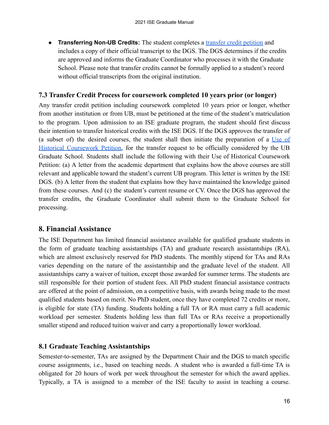● **Transferring Non-UB Credits:** The student completes a [transfer credit petition](https://drive.google.com/file/d/1oV09iPSptooR-B3EYoW2LXOWlKBSygbO/view?usp=sharing) and includes a copy of their official transcript to the DGS. The DGS determines if the credits are approved and informs the Graduate Coordinator who processes it with the Graduate School. Please note that transfer credits cannot be formally applied to a student's record without official transcripts from the original institution.

## <span id="page-15-0"></span> **7.3 Transfer Credit Process for coursework completed 10 years prior (or longer)**

Any transfer credit petition including coursework completed 10 years prior or longer, whether from another institution or from UB, must be petitioned at the time of the student's matriculation to the program. Upon admission to an ISE graduate program, the student should first discuss their intention to transfer historical credits with the ISE DGS. If the DGS approves the transfer of (a subset of) the desired courses, the student shall then initiate the preparation of a [Use](https://www.buffalo.edu/content/dam/grad/forms/historical.pdf) of Historical [Coursework](https://www.buffalo.edu/content/dam/grad/forms/historical.pdf) Petition, for the transfer request to be officially considered by the UB Graduate School. Students shall include the following with their Use of Historical Coursework Petition: (a) A letter from the academic department that explains how the above courses are still relevant and applicable toward the student's current UB program. This letter is written by the ISE DGS. (b) A letter from the student that explains how they have maintained the knowledge gained from these courses. And (c) the student's current resume or CV. Once the DGS has approved the transfer credits, the Graduate Coordinator shall submit them to the Graduate School for processing.

# <span id="page-15-1"></span> **8. Financial Assistance**

The ISE Department has limited financial assistance available for qualified graduate students in the form of graduate teaching assistantships (TA) and graduate research assistantships (RA), which are almost exclusively reserved for PhD students. The monthly stipend for TAs and RAs varies depending on the nature of the assistantship and the graduate level of the student. All assistantships carry a waiver of tuition, except those awarded for summer terms. The students are still responsible for their portion of student fees. All PhD student financial assistance contracts are offered at the point of admission, on a competitive basis, with awards being made to the most qualified students based on merit. No PhD student, once they have completed 72 credits or more, is eligible for state (TA) funding. Students holding a full TA or RA must carry a full academic workload per semester. Students holding less than full TAs or RAs receive a proportionally smaller stipend and reduced tuition waiver and carry a proportionally lower workload.

## <span id="page-15-2"></span> **8.1 Graduate Teaching Assistantships**

Semester-to-semester, TAs are assigned by the Department Chair and the DGS to match specific course assignments, i.e., based on teaching needs. A student who is awarded a full-time TA is obligated for 20 hours of work per week throughout the semester for which the award applies. Typically, a TA is assigned to a member of the ISE faculty to assist in teaching a course.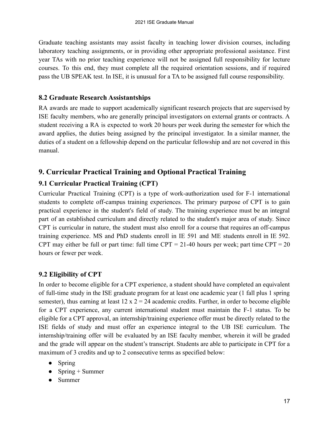Graduate teaching assistants may assist faculty in teaching lower division courses, including laboratory teaching assignments, or in providing other appropriate professional assistance. First year TAs with no prior teaching experience will not be assigned full responsibility for lecture courses. To this end, they must complete all the required orientation sessions, and if required pass the UB SPEAK test. In ISE, it is unusual for a TA to be assigned full course responsibility.

## <span id="page-16-0"></span> **8.2 Graduate Research Assistantships**

RA awards are made to support academically significant research projects that are supervised by ISE faculty members, who are generally principal investigators on external grants or contracts. A student receiving a RA is expected to work 20 hours per week during the semester for which the award applies, the duties being assigned by the principal investigator. In a similar manner, the duties of a student on a fellowship depend on the particular fellowship and are not covered in this manual.

# <span id="page-16-1"></span> **9. Curricular Practical Training and Optional Practical Training**

# <span id="page-16-2"></span> **9.1 Curricular Practical Training (CPT)**

Curricular Practical Training (CPT) is a type of work-authorization used for F-1 international students to complete off-campus training experiences. The primary purpose of CPT is to gain practical experience in the student's field of study. The training experience must be an integral part of an established curriculum and directly related to the student's major area of study. Since CPT is curricular in nature, the student must also enroll for a course that requires an off-campus training experience. MS and PhD students enroll in IE 591 and ME students enroll in IE 592. CPT may either be full or part time: full time CPT =  $21-40$  hours per week; part time CPT =  $20$ hours or fewer per week.

# <span id="page-16-3"></span> **9.2 Eligibility of CPT**

In order to become eligible for a CPT experience, a student should have completed an equivalent of full-time study in the ISE graduate program for at least one academic year (1 fall plus 1 spring semester), thus earning at least  $12 \times 2 = 24$  academic credits. Further, in order to become eligible for a CPT experience, any current international student must maintain the F-1 status. To be eligible for a CPT approval, an internship/training experience offer must be directly related to the ISE fields of study and must offer an experience integral to the UB ISE curriculum. The internship/training offer will be evaluated by an ISE faculty member, wherein it will be graded and the grade will appear on the student's transcript. Students are able to participate in CPT for a maximum of 3 credits and up to 2 consecutive terms as specified below:

- Spring
- Spring  $+$  Summer
- Summer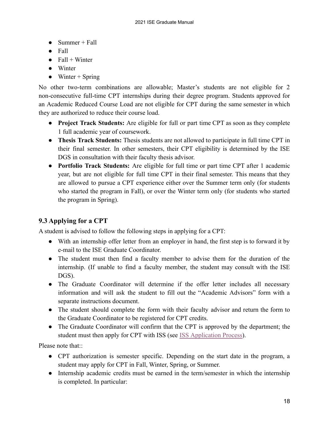- $\bullet$  Summer + Fall
- Fall
- $\bullet$  Fall + Winter
- Winter
- $\bullet$  Winter + Spring

No other two-term combinations are allowable; Master's students are not eligible for 2 non-consecutive full-time CPT internships during their degree program. Students approved for an Academic Reduced Course Load are not eligible for CPT during the same semester in which they are authorized to reduce their course load.

- **Project Track Students:** Are eligible for full or part time CPT as soon as they complete 1 full academic year of coursework.
- **Thesis Track Students:** Thesis students are not allowed to participate in full time CPT in their final semester. In other semesters, their CPT eligibility is determined by the ISE DGS in consultation with their faculty thesis advisor.
- **Portfolio Track Students:** Are eligible for full time or part time CPT after 1 academic year, but are not eligible for full time CPT in their final semester. This means that they are allowed to pursue a CPT experience either over the Summer term only (for students who started the program in Fall), or over the Winter term only (for students who started the program in Spring).

# <span id="page-17-0"></span> **9.3 Applying for a CPT**

A student is advised to follow the following steps in applying for a CPT:

- With an internship offer letter from an employer in hand, the first step is to forward it by e-mail to the ISE Graduate Coordinator.
- The student must then find a faculty member to advise them for the duration of the internship. (If unable to find a faculty member, the student may consult with the ISE DGS).
- The Graduate Coordinator will determine if the offer letter includes all necessary information and will ask the student to fill out the "Academic Advisors" form with a separate instructions document.
- The student should complete the form with their faculty advisor and return the form to the Graduate Coordinator to be registered for CPT credits.
- The Graduate Coordinator will confirm that the CPT is approved by the department; the student must then apply for CPT with ISS (see ISS [Application Process\)](http://www.buffalo.edu/international-student-services/immigration-visa/f-1-student/curricular-practical-training--cpt-.html#title_1467216601).

Please note that::

- CPT authorization is semester specific. Depending on the start date in the program, a student may apply for CPT in Fall, Winter, Spring, or Summer.
- Internship academic credits must be earned in the term/semester in which the internship is completed. In particular: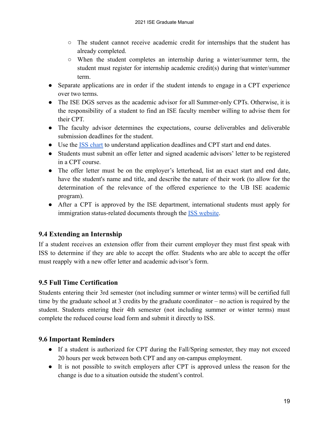- The student cannot receive academic credit for internships that the student has already completed.
- When the student completes an internship during a winter/summer term, the student must register for internship academic credit(s) during that winter/summer term.
- Separate applications are in order if the student intends to engage in a CPT experience over two terms.
- The ISE DGS serves as the academic advisor for all Summer-only CPTs. Otherwise, it is the responsibility of a student to find an ISE faculty member willing to advise them for their CPT.
- The faculty advisor determines the expectations, course deliverables and deliverable submission deadlines for the student.
- Use the [ISS chart](http://www.buffalo.edu/international-student-services/immigration-visa/f-1-student/curricular-practical-training--cpt-.html#title_673240024) to understand application deadlines and CPT start and end dates.
- Students must submit an offer letter and signed academic advisors' letter to be registered in a CPT course.
- The offer letter must be on the employer's letterhead, list an exact start and end date, have the student's name and title, and describe the nature of their work (to allow for the determination of the relevance of the offered experience to the UB ISE academic program).
- After a CPT is approved by the ISE department, international students must apply for immigration status-related documents through the ISS [website](http://www.buffalo.edu/international-student-services/immigration-visa/f-1-student/curricular-practical-training--cpt-.html#title_1467216601).

# <span id="page-18-0"></span> **9.4 Extending an Internship**

If a student receives an extension offer from their current employer they must first speak with ISS to determine if they are able to accept the offer. Students who are able to accept the offer must reapply with a new offer letter and academic advisor's form.

# <span id="page-18-1"></span> **9.5 Full Time Certification**

Students entering their 3rd semester (not including summer or winter terms) will be certified full time by the graduate school at 3 credits by the graduate coordinator – no action is required by the student. Students entering their 4th semester (not including summer or winter terms) must complete the reduced course load form and submit it directly to ISS.

# <span id="page-18-2"></span> **9.6 Important Reminders**

- If a student is authorized for CPT during the Fall/Spring semester, they may not exceed 20 hours per week between both CPT and any on-campus employment.
- It is not possible to switch employers after CPT is approved unless the reason for the change is due to a situation outside the student's control.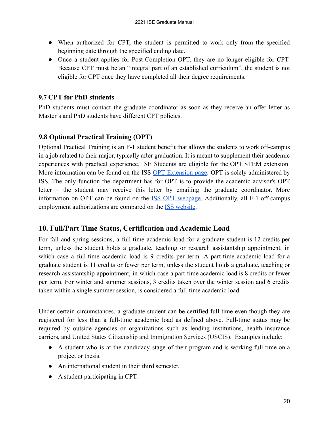- When authorized for CPT, the student is permitted to work only from the specified beginning date through the specified ending date.
- Once a student applies for Post-Completion OPT, they are no longer eligible for CPT. Because CPT must be an "integral part of an established curriculum", the student is not eligible for CPT once they have completed all their degree requirements.

## <span id="page-19-0"></span> **9.7 CPT for PhD students**

PhD students must contact the graduate coordinator as soon as they receive an offer letter as Master's and PhD students have different CPT policies.

# <span id="page-19-1"></span> **9.8 Optional Practical Training (OPT)**

Optional Practical Training is an F-1 student benefit that allows the students to work off-campus in a job related to their major, typically after graduation. It is meant to supplement their academic experiences with practical experience. ISE Students are eligible for the OPT STEM extension. More information can be found on the ISS OPT [Extension](http://www.buffalo.edu/international-student-services/immigration-visa/f-1-student/optional-practical-training--opt-/24-month-stem-extension.html) page. OPT is solely administered by ISS. The only function the department has for OPT is to provide the academic advisor's OPT letter – the student may receive this letter by emailing the graduate coordinator. More information on OPT can be found on the ISS OPT [webpage.](http://www.buffalo.edu/international-student-services/immigration-visa/f-1-student/optional-practical-training--opt-.html) Additionally, all F-1 off-campus employment authorizations are compared on the ISS [website.](http://www.buffalo.edu/international-student-services/immigration-visa/f-1-student/f-1-off-campus-employment-authorization.html)

# <span id="page-19-2"></span> **10. Full/Part Time Status, Certification and Academic Load**

For fall and spring sessions, a full-time academic load for a graduate student is 12 credits per term, unless the student holds a graduate, teaching or research assistantship appointment, in which case a full-time academic load is 9 credits per term. A part-time academic load for a graduate student is 11 credits or fewer per term, unless the student holds a graduate, teaching or research assistantship appointment, in which case a part-time academic load is 8 credits or fewer per term. For winter and summer sessions, 3 credits taken over the winter session and 6 credits taken within a single summer session, is considered a full-time academic load.

Under certain circumstances, a graduate student can be certified full-time even though they are registered for less than a full-time academic load as defined above. Full-time status may be required by outside agencies or organizations such as lending institutions, health insurance carriers, and United States Citizenship and Immigration Services (USCIS). Examples include:

- A student who is at the candidacy stage of their program and is working full-time on a project or thesis.
- An international student in their third semester.
- A student participating in CPT.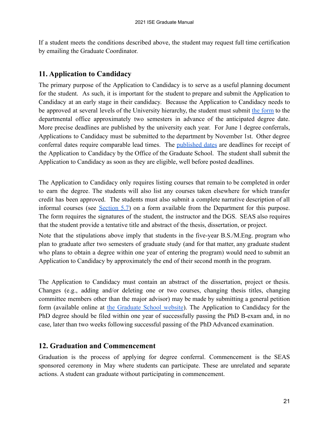If a student meets the conditions described above, the student may request full time certification by emailing the Graduate Coordinator.

# <span id="page-20-2"></span><span id="page-20-0"></span> **11. Application to Candidacy**

The primary purpose of the Application to Candidacy is to serve as a useful planning document for the student. As such, it is important for the student to prepare and submit the Application to Candidacy at an early stage in their candidacy. Because the Application to Candidacy needs to be approved at several levels of the University hierarchy, the student must submit the [form](http://www.buffalo.edu/grad/succeed/graduate/application-to-candidacy.html) to the departmental office approximately two semesters in advance of the anticipated degree date. More precise deadlines are published by the university each year. For June 1 degree conferrals, Applications to Candidacy must be submitted to the department by November 1st. Other degree conferral dates require comparable lead times. The [published](http://www.buffalo.edu/grad/succeed/graduate/application-to-candidacy.html) dates are deadlines for receipt of the Application to Candidacy by the Office of the Graduate School. The student shall submit the Application to Candidacy as soon as they are eligible, well before posted deadlines.

The Application to Candidacy only requires listing courses that remain to be completed in order to earn the degree. The students will also list any courses taken elsewhere for which transfer credit has been approved. The students must also submit a complete narrative description of all informal courses (see [Section](#page-9-0) 5.7) on a form available from the Department for this purpose. The form requires the signatures of the student, the instructor and the DGS. SEAS also requires that the student provide a tentative title and abstract of the thesis, dissertation, or project.

Note that the stipulations above imply that students in the five-year B.S./M.Eng. program who plan to graduate after two semesters of graduate study (and for that matter, any graduate student who plans to obtain a degree within one year of entering the program) would need to submit an Application to Candidacy by approximately the end of their second month in the program.

The Application to Candidacy must contain an abstract of the dissertation, project or thesis. Changes (e.g., adding and/or deleting one or two courses, changing thesis titles, changing committee members other than the major advisor) may be made by submitting a general petition form (available online at the [Graduate](http://www.grad.buffalo.edu) School website). The Application to Candidacy for the PhD degree should be filed within one year of successfully passing the PhD B-exam and, in no case, later than two weeks following successful passing of the PhD Advanced examination.

# <span id="page-20-1"></span> **12. Graduation and Commencement**

Graduation is the process of applying for degree conferral. Commencement is the SEAS sponsored ceremony in May where students can participate. These are unrelated and separate actions. A student can graduate without participating in commencement.